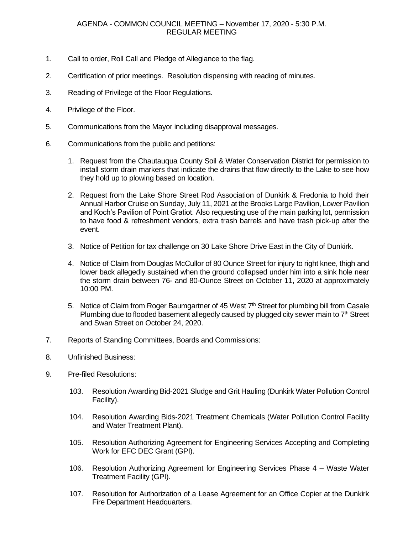- 1. Call to order, Roll Call and Pledge of Allegiance to the flag.
- 2. Certification of prior meetings. Resolution dispensing with reading of minutes.
- 3. Reading of Privilege of the Floor Regulations.
- 4. Privilege of the Floor.
- 5. Communications from the Mayor including disapproval messages.
- 6. Communications from the public and petitions:
	- 1. Request from the Chautauqua County Soil & Water Conservation District for permission to install storm drain markers that indicate the drains that flow directly to the Lake to see how they hold up to plowing based on location.
	- 2. Request from the Lake Shore Street Rod Association of Dunkirk & Fredonia to hold their Annual Harbor Cruise on Sunday, July 11, 2021 at the Brooks Large Pavilion, Lower Pavilion and Koch's Pavilion of Point Gratiot. Also requesting use of the main parking lot, permission to have food & refreshment vendors, extra trash barrels and have trash pick-up after the event.
	- 3. Notice of Petition for tax challenge on 30 Lake Shore Drive East in the City of Dunkirk.
	- 4. Notice of Claim from Douglas McCullor of 80 Ounce Street for injury to right knee, thigh and lower back allegedly sustained when the ground collapsed under him into a sink hole near the storm drain between 76- and 80-Ounce Street on October 11, 2020 at approximately 10:00 PM.
	- 5. Notice of Claim from Roger Baumgartner of 45 West 7<sup>th</sup> Street for plumbing bill from Casale Plumbing due to flooded basement allegedly caused by plugged city sewer main to  $7<sup>th</sup>$  Street and Swan Street on October 24, 2020.
- 7. Reports of Standing Committees, Boards and Commissions:
- 8. Unfinished Business:
- 9. Pre-filed Resolutions:
	- 103. Resolution Awarding Bid-2021 Sludge and Grit Hauling (Dunkirk Water Pollution Control Facility).
	- 104. Resolution Awarding Bids-2021 Treatment Chemicals (Water Pollution Control Facility and Water Treatment Plant).
	- 105. Resolution Authorizing Agreement for Engineering Services Accepting and Completing Work for EFC DEC Grant (GPI).
	- 106. Resolution Authorizing Agreement for Engineering Services Phase 4 Waste Water Treatment Facility (GPI).
	- 107. Resolution for Authorization of a Lease Agreement for an Office Copier at the Dunkirk Fire Department Headquarters.